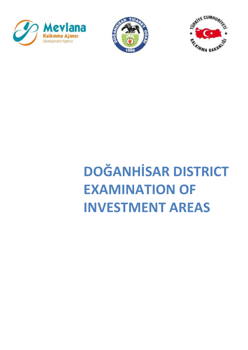





# **DOĞANHİSAR DISTRICT EXAMINATION OF INVESTMENT AREAS**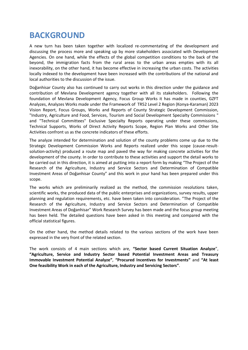# **BACKGROUND**

A new turn has been taken together with localized re-commentating of the development and discussing the process more and speaking up by more stakeholders associated with Development Agencies. On one hand, while the effects of the global competition conditions to the back of the beyond, the immigration facts from the rural areas to the urban areas empties with its all inexorability, on the other hand, it has become effective in increasing the urban costs. The activities locally indexed to the development have been increased with the contributions of the national and local authorities to the discussion of the issue.

Doğanhisar County also has continued to carry out works in this direction under the guidance and contribution of Mevlana Development agency together with all its stakeholders. Following the foundation of Mevlana Development Agency, Focus Group Works it has made in counties, GZFT Analyzes, Analyzes Works made under the Framework of TR52 Level 2 Region (Konya-Karaman) 2023 Vision Report, Focus Groups, Works and Reports of County Strategic Development Commission, "Industry, Agriculture and Food, Services, Tourism and Social Development Specialty Commissions " and "Technical Committees" Exclusive Specialty Reports operating under these commissions, Technical Supports, Works of Direct Activity Reports Scope, Region Plan Works and Other Site Activities confront us as the concrete indicators of these efforts.

The analyze intended for determination and solution of the county problems come up due to the Strategic Development Commission Works and Reports realized under this scope (cause-resultsolution-activity) produced a route map and paved the way for making concrete activities for the development of the county. In order to contribute to these activities and support the detail works to be carried out in this direction, it is aimed at putting into a report form by making "The Project of the Research of the Agriculture, Industry and Service Sectors and Determination of Compatible Investment Areas of Doğanhisar County" and this work in your hand has been prepared under this scope.

The works which are preliminarily realized as the method, the commission resolutions taken, scientific works, the produced data of the public enterprises and organizations, survey results, upper planning and regulation requirements, etc. have been taken into consideration. "The Project of the Research of the Agriculture, Industry and Service Sectors and Determination of Compatible Investment Areas of Doğanhisar" Work Research Survey has been made and the focus group meeting has been held. The detailed questions have been asked in this meeting and compared with the official statistical figures.

On the other hand, the method details related to the various sections of the work have been expressed in the very front of the related section.

The work consists of 4 main sections which are, **"Sector based Current Situation Analyze**", **"Agriculture, Service and Industry Sector based Potential Investment Areas and Treasury Immovable Investment Potential Analyze"**, **"Procured Incentives for Investments"** and **"At least One feasibility Work in each of the Agriculture, Industry and Servicing Sectors"**.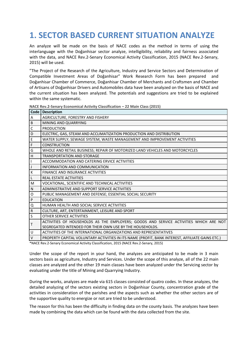# **1. SECTOR BASED CURRENT SITUATION ANALYZE**

An analyze will be made on the basis of NACE codes as the method in terms of using the interlanguage with the Doğanhisar sector analyze, intelligibility, reliability and fairness associated with the data, and NACE Rev.2-Senary Economical Activity Classification, 2015 (NACE Rev.2-Senary, 2015) will be used.

"The Project of the Research of the Agriculture, Industry and Service Sectors and Determination of Compatible Investment Areas of Doğanhisar" Work Research Form has been prepared and Doğanhisar Chamber of Commerce, Doğanhisar Chamber of Merchants and Craftsmen and Chamber of Artisans of Doğanhisar Drivers and Automobiles data have been analyzed on the basis of NACE and the current situation has been analyzed. The potentials and suggestions are tried to be explained within the same systematic.

| Code           | <b>Description</b>                                                                              |
|----------------|-------------------------------------------------------------------------------------------------|
| A              | AGRICULTURE, FORESTRY AND FISHERY                                                               |
| $\sf B$        | MINING AND QUARRYING                                                                            |
| $\mathsf{C}$   | <b>PRODUCTION</b>                                                                               |
| D              | ELECTRIC, GAS, STEAM AND ACCLIMATIZATION PRODUCTION AND DISTRIBUTION                            |
| $\mathsf E$    | WATER SUPPLY; SEWAGE SYSTEM, WASTE MANAGEMENT AND IMPROVEMENT ACTIVITIES                        |
| $\overline{F}$ | <b>CONSTRUCTION</b>                                                                             |
| G              | WHOLE AND RETAIL BUSINESS; REPAIR OF MOTORIZED LAND VEHICLES AND MOTORCYCLES                    |
| H              | <b>TRANSPORTATION AND STORAGE</b>                                                               |
| $\mathbf{I}$   | ACCOMMODATION AND CATERING ERVICE ACTIVITIES                                                    |
| J              | INFORMATION AND COMMUNICATION                                                                   |
| К              | FINANCE AND INSURANCE ACTIVITIES                                                                |
| L              | <b>REAL ESTATE ACTIVITIES</b>                                                                   |
| M              | VOCATIONAL, SCIENTIFIC AND TECHNICAL ACTIVITIES                                                 |
| $\mathsf{N}$   | ADMINISTRATIVE AND SUPPORT SERVICE ACTIVITIES                                                   |
| $\circ$        | PUBLIC MANAGEMENT AND DEFENSE; ESSENTIAL SOCIAL SECURITY                                        |
| $\mathsf{P}$   | <b>EDUCATION</b>                                                                                |
| $\Omega$       | HUMAN HEALTH AND SOCIAL SERVICE ACTIVITIES                                                      |
| ${\sf R}$      | CULTURE, ART, ENTERTAINMENT, LEISURE AND SPORT                                                  |
| $\sf S$        | OTHER SERVICE ACTIVITIES                                                                        |
| T              | ACTIVITIES OF HOUSEHOLDS AS THE EMPLOYERS; GOODS AND SERVICE ACTIVITIES WHICH ARE NOT           |
|                | SEGREGATED INTENDED FOR THEIR OWN USE BY THE HOUSEHOLDS.                                        |
| U              | ACTIVITIES OF THE INTERNATIONAL ORGANIZATIONS AND REPRESENTATIVES                               |
| $\vee$         | PROPERTY CAPITAL VOLUNTARY ACTIVITIES IN ITS NAME (PROFIT, BANK INTEREST, AFFILIATE GAINS ETC.) |

**NACE Rev.2-Senary Economical Activity Classification – 22 Main Class (2015)** 

\*NACE Rev.2-Senary Economical Activity Classification, 2015 (NACE Rev.2-Senary, 2015)

Under the scope of the report in your hand, the analyzes are anticipated to be made in 3 main sectors basis as agriculture, Industry and Services. Under the scope of this analyze, all of the 22 main classes are analyzed and the other 19 main classes have been analyzed under the Servicing sector by evaluating under the title of Mining and Quarrying Industry.

During the works, analyzes are made via 615 classes consisted of quatro codes. In these analyzes, the detailed analyzing of the sectors existing sectors in Doğanhisar County, concentration grade of the activities in consideration of the parishes and the aspects such as whether the other sectors are of the supportive quality to energize or not are tried to be understood.

The reason for this has been the difficulty in finding data on the county basis. The analyzes have been made by combining the data which can be found with the data collected from the site.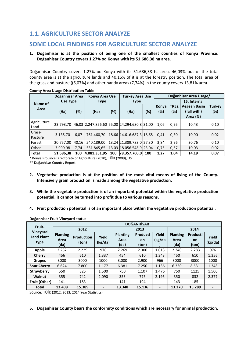## **1.1. AGRICULTURE SECTOR ANALYZE**

## **SOME LOCAL FINDINGS FOR AGRICULTURE SECTOR ANALYZE**

#### **1. Doğanhisar is at the position of being one of the smallest counties of Konya Province. Doğanhisar Country covers 1,27% od Konya with its 51.686,38 ha area.**

Doğanhisar Country covers 1,27% od Konya with its 51.686,38 ha area. 46,03% out of the total county area is at the agriculture lands and 40,16% of it is at the forestry position. The total area of the grass and pasture ((6,07%) and other handy areas (7,74%) in the county covers 13,81% area.

|                     | Doğanhisar Area |        | Konya Area Use                              |     | <b>Turkey Area Use</b>   |        | Doğanhisar Area Usage/ |                    |                                         |                      |
|---------------------|-----------------|--------|---------------------------------------------|-----|--------------------------|--------|------------------------|--------------------|-----------------------------------------|----------------------|
| Name of             | Use Type        |        | <b>Type</b>                                 |     | <b>Type</b>              |        |                        |                    | 15. Internal                            |                      |
| Area                | (Ha)            | $(\%)$ | (%)<br>(Ha)                                 |     | (Ha)                     | $(\%)$ | Konya<br>$(\%)$        | <b>TR52</b><br>(%) | Aegean Basin<br>(fall with)<br>Area (%) | <b>Turkey</b><br>(%) |
| Agriculture<br>Land | 23.793.70       |        | 46,03 2.247.856,60 55,08 24.294.680,8 31,00 |     |                          |        | 1.06                   | 0.95               | 10.43                                   | 0,10                 |
| Grass-<br>Pasture   | 3.135,70        | 6.07   | 761.460.70                                  |     | 18,66 14.616.687,3 18,65 |        | 0.41                   | 0,30               | 10,90                                   | 0,02                 |
| Forest              | 20.757,00       | 40.16  | 540.189,00                                  |     | 13,24 21.389.783,0 27,30 |        | 3,84                   | 2,96               | 30,76                                   | 0,10                 |
| Other               | 3.999,98        | 7,74   | 531.845,65                                  |     | 13,03 18.056.548,9 23,04 |        | 0,75                   | 0,57               | 10,03                                   | 0,02                 |
| <b>Total</b>        | 51.686,38       | 100    | 4.081.351.95                                | 100 | 78.357.700.0             | 100    | 1,27                   | 1,04               | 14,19                                   | 0,07                 |

**County Area Usage Distribution Table** 

\* Konya Province Directorate of Agriculture (2010), TÜİK (2009), DSİ

\*\* Doğanhisar Country Report

- **2. Vegetative production is at the position of the most vital means of living of the County. Intensively grain production is made among the vegetative production.**
- **3. While the vegetable production is of an important potential within the vegetative production potential, it cannot be turned into profit due to various reasons.**
- **4. Fruit production potential is of an important place within the vegetative production potential.**

| Fruit-                                | <b>DOĞANHİSAR</b>               |                            |                          |                                 |                                |                              |                                 |                                |                  |  |  |
|---------------------------------------|---------------------------------|----------------------------|--------------------------|---------------------------------|--------------------------------|------------------------------|---------------------------------|--------------------------------|------------------|--|--|
|                                       |                                 | 2012                       |                          |                                 | 2013                           |                              | 2014                            |                                |                  |  |  |
| Vineyard<br><b>Land Plant</b><br>type | <b>Planting</b><br>Area<br>(da) | <b>Production</b><br>(ton) | Yield<br>(kg/da)         | <b>Planting</b><br>Area<br>(da) | Producti<br><b>on</b><br>(ton) | Yield<br>(kg/da              | <b>Planting</b><br>Area<br>(da) | Producti<br><b>on</b><br>(ton) | Yield<br>(kg/da) |  |  |
| <b>Apple</b>                          | 2.282                           | 2.229                      | 976                      | 2.269                           | 2.300                          | 1.013                        | 2.340                           | 2.283                          | 976              |  |  |
| Cherry                                | 456                             | 610                        | 1.337                    | 454                             | 610                            | 1.343                        | 450                             | 610                            | 1.356            |  |  |
| Grapes                                | 3000                            | 3000                       | 1000                     | 3.000                           | 2.900                          | 966                          | 3000                            | 3000                           | 1000             |  |  |
| <b>Sour Cherry</b>                    | 6.624                           | 7.800                      | 1.177                    | 6.381                           | 7.250                          | 1.136                        | 6.330                           | 8.531                          | 1.348            |  |  |
| <b>Strawberry</b>                     | 550                             | 825                        | 1.500                    | 750                             | 1.107                          | 1.476                        | 750                             | 1125                           | 1.500            |  |  |
| Walnut                                | 355                             | 742                        | 2.090                    | 353                             | 775                            | 2.195                        | 350                             | 832                            | 2.377            |  |  |
| Fruit (Other)                         | 141                             | 183                        | -                        | 141                             | 194                            |                              | 143                             | 185                            |                  |  |  |
| <b>Total</b>                          | 13.408                          | 15.389                     | $\overline{\phantom{0}}$ | 13.348                          | 15.136                         | $\qquad \qquad \blacksquare$ | 13.270                          | 15.289                         |                  |  |  |

#### **Doğanhisar Fruit-Vineyard status**

Source: TÜİK (2012, 2013, 2014 Year Statistics)

**5. Doğanhisar County bears the conformity conditions which are necessary for animal production.**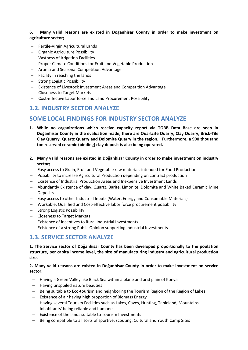#### **6. Many valid reasons are existed in Doğanhisar County in order to make investment on agriculture sector;**

- Fertile-Virgin Agricultural Lands
- Organic Agriculture Possibility
- Vastness of Irrigation Facilities
- Proper Climate Conditions for Fruit and Vegetable Production
- Aroma and Seasonal Competition Advantage
- $-$  Facility in reaching the lands
- Strong Logistic Possibility
- Existence of Livestock Investment Areas and Competition Advantage
- Closeness to Target Markets
- Cost-effective Labor force and Land Procurement Possibility

## **1.2. INDUSTRY SECTOR ANALYZE**

## **SOME LOCAL FINDINGS FOR INDUSTRY SECTOR ANALYZE**

- **1. While no organizations which receive capacity report via TOBB Data Base are seen in Doğanhisar County in the evaluation made, there are Quartzite Quarry, Clay Quarry, Brick-Tile Clay Quarry, Quartz Quarry and Dolomite Quarry in the region. Furthermore, a 900 thousand ton reserved ceramic (binding) clay deposit is also being operated.**
- **2. Many valid reasons are existed in Doğanhisar County in order to make investment on industry sector;**
- Easy access to Grain, Fruit and Vegetable raw materials intended for Food Production
- Possibility to increase Agricultural Production depending on contract production
- Existence of Industrial Production Areas and Inexpensive Investment Lands
- Abundantly Existence of clay, Quartz, Barite, Limonite, Dolomite and White Baked Ceramic Mine Deposits
- Easy access to other Industrial Inputs (Water, Energy and Consumable Materials)
- Workable, Qualified and Cost-effective labor force procurement possibility
- Strong Logistic Possibility
- Closeness to Target Markets
- Existence of incentives to Rural Industrial Investments
- Existence of a strong Public Opinion supporting Industrial Investments

## **1.3. SERVICE SECTOR ANALYZE**

**1. The Service sector of Doğanhisar County has been developed proportionally to the poulation structure, per capita income level, the size of manufacturing industry and agricultural production size.** 

#### **2. Many valid reasons are existed in Doğanhisar County in order to make investment on service sector;**

- Having a Green Valley like Black Sea within a plane and arid plain of Konya
- Having unspoiled nature beauties
- Being suitable to Eco-tourism and neighboring the Tourism Region of the Region of Lakes
- Existence of air having high proportion of Biomass Energy
- $-$  Having several Tourism Facilities such as Lakes, Caves, Hunting, Tableland, Mountains
- Inhabitants' being reliable and humane
- Existence of the lands suitable to Tourism Investments
- Being compatible to all sorts of sportive, scouting, Cultural and Youth Camp Sites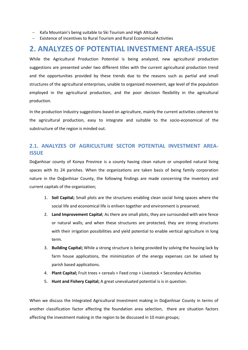- Kafa Mountain's being suitable to Ski Tourism and High Altitude
- Existence of incentives to Rural Tourism and Rural Economical Activities

## **2. ANALYZES OF POTENTIAL INVESTMENT AREA-ISSUE**

While the Agricultural Production Potential is being analyzed, new agricultural production suggestions are presented under two different titles with the current agricultural production trend and the opportunities provided by these trends due to the reasons such as partial and small structures of the agricultural enterprises, unable to organized movement, age level of the population employed in the agricultural production, and the poor decision flexibility in the agricultural production.

In the production Industry suggestions based on agriculture, mainly the current activities coherent to the agricultural production, easy to integrate and suitable to the socio-economical of the substructure of the region is minded out.

## **2.1. ANALYZES OF AGRICULTURE SECTOR POTENTIAL INVESTMENT AREA-ISSUE**

Doğanhisar county of Konya Province is a county having clean nature or unspoiled natural living spaces with its 24 parishes. When the organizations are taken basis of being family corporation nature in the Doğanhisar County, the following findings are made concerning the inventory and current capitals of the organization;

- 1. **Soil Capital;** Small plots are the structures enabling clean social living spaces where the social life and economical life is enliven together and environment is preserved.
- 2. **Land Improvement Capital**; As there are small plots, they are surrounded with wire fence or natural walls; and when these structures are protected, they are strong structures with their irrigation possibilities and yield potential to enable vertical agriculture in long term.
- 3. **Building Capital;** While a strong structure is being provided by solving the housing lack by farm house applications, the minimization of the energy expenses can be solved by parish based applications.
- 4. **Plant Capital;** Fruit trees + cereals + Feed crop + Livestock + Secondary Activities
- 5. **Hunt and Fishery Capital;** A great unevaluated potential is is in question.

When we discuss the Integrated Agricultural Investment making in Doğanhisar County in terms of another classification factor affecting the foundation area selection, there are situation factors affecting the investment making in the region to be discussed in 10 main groups;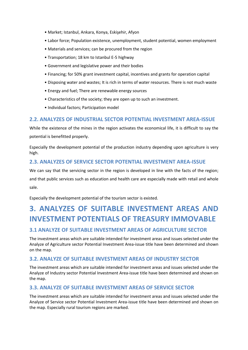- Market; Istanbul, Ankara, Konya, Eskişehir, Afyon
- Labor force; Population existence, unemployment, student potential, women employment
- Materials and services; can be procured from the region
- Transportation; 18 km to Istanbul E-5 highway
- Government and legislative power and their bodies
- Financing; for 50% grant investment capital, incentives and grants for operation capital
- Disposing water and wastes; It is rich in terms of water resources. There is not much waste
- Energy and fuel; There are renewable energy sources
- Characteristics of the society; they are open up to such an investment.
- Individual factors; Participation model

## **2.2. ANALYZES OF INDUSTRIAL SECTOR POTENTIAL INVESTMENT AREA-ISSUE**

While the existence of the mines in the region activates the economical life, it is difficult to say the potential is benefitted properly.

Especially the development potential of the production industry depending upon agriculture is very high.

#### **2.3. ANALYZES OF SERVICE SECTOR POTENTIAL INVESTMENT AREA-ISSUE**

We can say that the servicing sector in the region is developed in line with the facts of the region; and that public services such as education and health care are especially made with retail and whole sale.

Especially the development potential of the tourism sector is existed.

# **3. ANALYZES OF SUITABLE INVESTMENT AREAS AND INVESTMENT POTENTIALS OF TREASURY IMMOVABLE**

## **3.1 ANALYZE OF SUITABLE INVESTMENT AREAS OF AGRICULTURE SECTOR**

The investment areas which are suitable intended for investment areas and issues selected under the Analyze of Agriculture sector Potential Investment Area-issue title have been determined and shown on the map.

## **3.2. ANALYZE OF SUITABLE INVESTMENT AREAS OF INDUSTRY SECTOR**

The investment areas which are suitable intended for investment areas and issues selected under the Analyze of Industry sector Potential Investment Area-issue title have been determined and shown on the map.

## **3.3. ANALYZE OF SUITABLE INVESTMENT AREAS OF SERVICE SECTOR**

The investment areas which are suitable intended for investment areas and issues selected under the Analyze of Service sector Potential Investment Area-issue title have been determined and shown on the map. Especially rural tourism regions are marked.